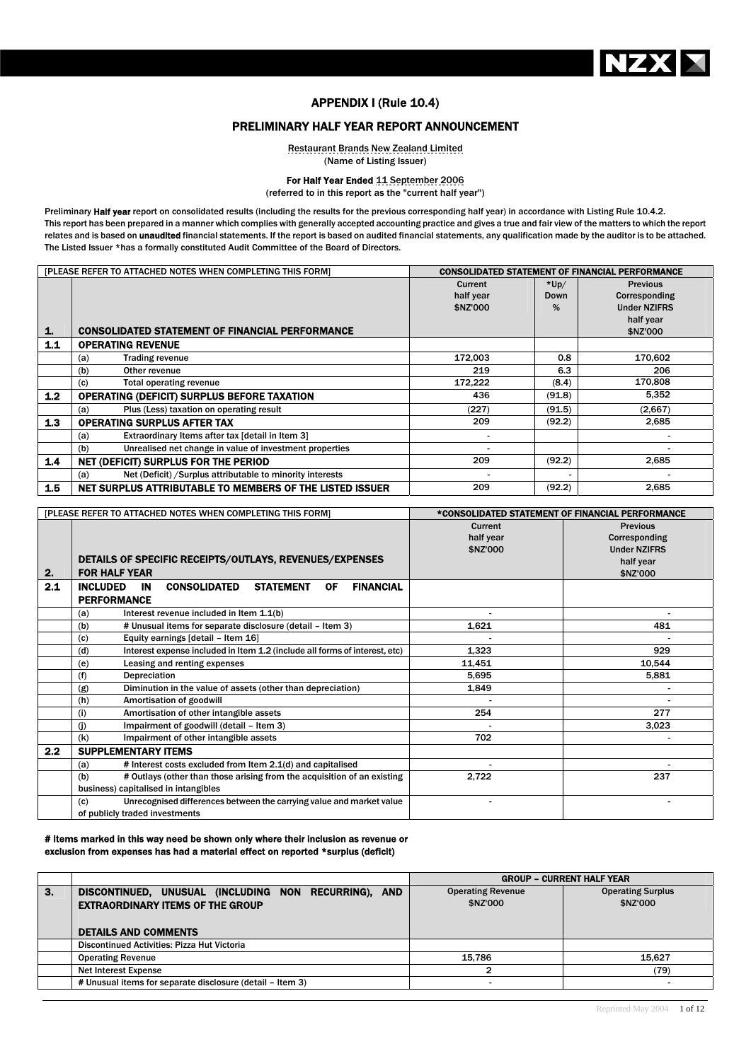

# APPENDIX I (Rule 10.4)

# PRELIMINARY HALF YEAR REPORT ANNOUNCEMENT

Restaurant Brands New Zealand Limited (Name of Listing Issuer)

For Half Year Ended 11 September 2006

(referred to in this report as the "current half year")

Preliminary Half year report on consolidated results (including the results for the previous corresponding half year) in accordance with Listing Rule 10.4.2. This report has been prepared in a manner which complies with generally accepted accounting practice and gives a true and fair view of the matters to which the report relates and is based on unaudited financial statements. If the report is based on audited financial statements, any qualification made by the auditor is to be attached. The Listed Issuer \*has a formally constituted Audit Committee of the Board of Directors.

|                  | [PLEASE REFER TO ATTACHED NOTES WHEN COMPLETING THIS FORM]        | <b>CONSOLIDATED STATEMENT OF FINANCIAL PERFORMANCE</b> |        |                     |
|------------------|-------------------------------------------------------------------|--------------------------------------------------------|--------|---------------------|
|                  |                                                                   | Current                                                | $*Up/$ | <b>Previous</b>     |
|                  |                                                                   | half year                                              | Down   | Corresponding       |
|                  |                                                                   | \$NZ'000                                               | %      | <b>Under NZIFRS</b> |
|                  |                                                                   |                                                        |        | half year           |
| 1.               | <b>CONSOLIDATED STATEMENT OF FINANCIAL PERFORMANCE</b>            |                                                        |        | \$NZ'000            |
| $1.1$            | <b>OPERATING REVENUE</b>                                          |                                                        |        |                     |
|                  | <b>Trading revenue</b><br>(a)                                     | 172,003                                                | 0.8    | 170,602             |
|                  | (b)<br>Other revenue                                              | 219                                                    | 6.3    | 206                 |
|                  | Total operating revenue<br>(c)                                    | 172,222                                                | (8.4)  | 170,808             |
| 1.2 <sub>2</sub> | <b>OPERATING (DEFICIT) SURPLUS BEFORE TAXATION</b>                | 436                                                    | (91.8) | 5,352               |
|                  | Plus (Less) taxation on operating result<br>(a)                   | (227)                                                  | (91.5) | (2,667)             |
| 1.3              | <b>OPERATING SURPLUS AFTER TAX</b>                                | 209                                                    | (92.2) | 2,685               |
|                  | Extraordinary Items after tax [detail in Item 3]<br>(a)           |                                                        |        |                     |
|                  | Unrealised net change in value of investment properties<br>(b)    |                                                        |        |                     |
| 1.4              | NET (DEFICIT) SURPLUS FOR THE PERIOD                              | 209                                                    | (92.2) | 2,685               |
|                  | Net (Deficit) / Surplus attributable to minority interests<br>(a) |                                                        |        |                     |
| 1.5              | NET SURPLUS ATTRIBUTABLE TO MEMBERS OF THE LISTED ISSUER          | 209                                                    | (92.2) | 2,685               |

|                  | [PLEASE REFER TO ATTACHED NOTES WHEN COMPLETING THIS FORM]                                        | *CONSOLIDATED STATEMENT OF FINANCIAL PERFORMANCE |                     |
|------------------|---------------------------------------------------------------------------------------------------|--------------------------------------------------|---------------------|
|                  |                                                                                                   | Current                                          | <b>Previous</b>     |
|                  |                                                                                                   | half year                                        | Corresponding       |
|                  |                                                                                                   | \$NZ'000                                         | <b>Under NZIFRS</b> |
|                  | DETAILS OF SPECIFIC RECEIPTS/OUTLAYS, REVENUES/EXPENSES                                           |                                                  | half year           |
| 2.               | <b>FOR HALF YEAR</b>                                                                              |                                                  | \$NZ'000            |
| 2.1              | <b>FINANCIAL</b><br><b>INCLUDED</b><br><b>STATEMENT</b><br><b>IN</b><br><b>CONSOLIDATED</b><br>0F |                                                  |                     |
|                  | <b>PERFORMANCE</b>                                                                                |                                                  |                     |
|                  | Interest revenue included in Item 1.1(b)<br>(a)                                                   |                                                  |                     |
|                  | # Unusual items for separate disclosure (detail - Item 3)<br>(b)                                  | 1,621                                            | 481                 |
|                  | Equity earnings [detail - Item 16]<br>(c)                                                         |                                                  |                     |
|                  | Interest expense included in Item 1.2 (include all forms of interest, etc)<br>(d)                 | 1,323                                            | 929                 |
|                  | Leasing and renting expenses<br>(e)                                                               | 11,451                                           | 10,544              |
|                  | (f)<br>Depreciation                                                                               | 5,695                                            | 5,881               |
|                  | Diminution in the value of assets (other than depreciation)<br>(g)                                | 1,849                                            |                     |
|                  | (h)<br>Amortisation of goodwill                                                                   |                                                  |                     |
|                  | Amortisation of other intangible assets<br>(i)                                                    | 254                                              | 277                 |
|                  | Impairment of goodwill (detail - Item 3)<br>(i)                                                   |                                                  | 3,023               |
|                  | (k)<br>Impairment of other intangible assets                                                      | 702                                              |                     |
| $2.2\phantom{0}$ | <b>SUPPLEMENTARY ITEMS</b>                                                                        |                                                  |                     |
|                  | # Interest costs excluded from Item 2.1(d) and capitalised<br>(a)                                 |                                                  |                     |
|                  | # Outlays (other than those arising from the acquisition of an existing<br>(b)                    | 2,722                                            | 237                 |
|                  | business) capitalised in intangibles                                                              |                                                  |                     |
|                  | Unrecognised differences between the carrying value and market value<br>(c)                       |                                                  |                     |
|                  | of publicly traded investments                                                                    |                                                  |                     |

#### # Items marked in this way need be shown only where their inclusion as revenue or exclusion from expenses has had a material effect on reported \*surplus (deficit)

|    |                                                           |                          | <b>GROUP - CURRENT HALF YEAR</b> |
|----|-----------------------------------------------------------|--------------------------|----------------------------------|
| 3. | DISCONTINUED, UNUSUAL (INCLUDING NON RECURRING), AND      | <b>Operating Revenue</b> | <b>Operating Surplus</b>         |
|    | <b>EXTRAORDINARY ITEMS OF THE GROUP</b>                   | \$NZ'000                 | \$NZ'000                         |
|    |                                                           |                          |                                  |
|    | <b>DETAILS AND COMMENTS</b>                               |                          |                                  |
|    | Discontinued Activities: Pizza Hut Victoria               |                          |                                  |
|    | <b>Operating Revenue</b>                                  | 15.786                   | 15.627                           |
|    | <b>Net Interest Expense</b>                               |                          | (79)                             |
|    | # Unusual items for separate disclosure (detail - Item 3) |                          |                                  |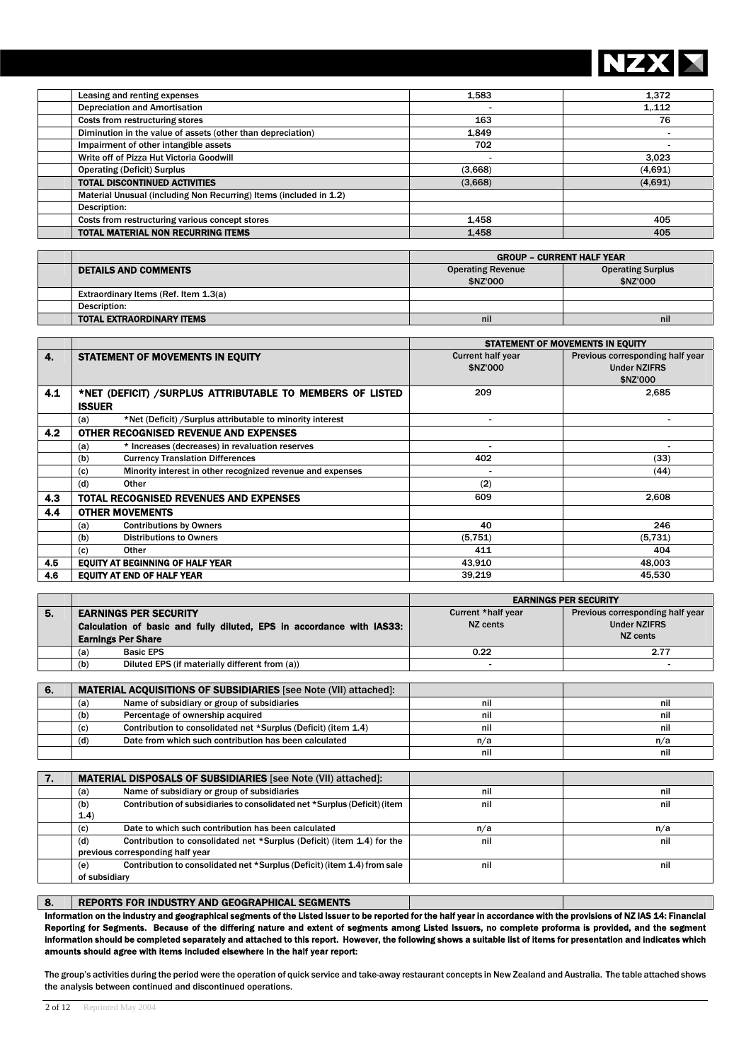

nil nil

| Leasing and renting expenses                                       | 1.583   | 1.372   |
|--------------------------------------------------------------------|---------|---------|
| <b>Depreciation and Amortisation</b>                               |         | 1.112   |
| Costs from restructuring stores                                    | 163     | 76      |
| Diminution in the value of assets (other than depreciation)        | 1.849   |         |
| Impairment of other intangible assets                              | 702     |         |
| Write off of Pizza Hut Victoria Goodwill                           |         | 3.023   |
| <b>Operating (Deficit) Surplus</b>                                 | (3,668) | (4,691) |
| <b>TOTAL DISCONTINUED ACTIVITIES</b>                               | (3,668) | (4,691) |
| Material Unusual (including Non Recurring) Items (included in 1.2) |         |         |
| Description:                                                       |         |         |
| Costs from restructuring various concept stores                    | 1.458   | 405     |
| <b>TOTAL MATERIAL NON RECURRING ITEMS</b>                          | 1.458   | 405     |

|                                       | <b>GROUP - CURRENT HALF YEAR</b>                     |          |  |  |
|---------------------------------------|------------------------------------------------------|----------|--|--|
| <b>DETAILS AND COMMENTS</b>           | <b>Operating Revenue</b><br><b>Operating Surplus</b> |          |  |  |
|                                       | \$NZ'000                                             | \$NZ'000 |  |  |
| Extraordinary Items (Ref. Item 1.3(a) |                                                      |          |  |  |
| Description:                          |                                                      |          |  |  |
| <b>TOTAL EXTRAORDINARY ITEMS</b>      | nil                                                  | nil      |  |  |

|                  |                                                                   | STATEMENT OF MOVEMENTS IN EQUITY |                                  |  |
|------------------|-------------------------------------------------------------------|----------------------------------|----------------------------------|--|
| 4.               | <b>STATEMENT OF MOVEMENTS IN EQUITY</b>                           | <b>Current half year</b>         | Previous corresponding half year |  |
|                  |                                                                   | \$NZ'000                         | <b>Under NZIFRS</b>              |  |
|                  |                                                                   |                                  | \$NZ'000                         |  |
| 4.1              | *NET (DEFICIT) / SURPLUS ATTRIBUTABLE TO MEMBERS OF LISTED        | 209                              | 2,685                            |  |
|                  | <b>ISSUER</b>                                                     |                                  |                                  |  |
|                  | *Net (Deficit) / Surplus attributable to minority interest<br>(a) |                                  |                                  |  |
| 4.2 <sub>2</sub> | OTHER RECOGNISED REVENUE AND EXPENSES                             |                                  |                                  |  |
|                  | * Increases (decreases) in revaluation reserves<br>(a)            |                                  |                                  |  |
|                  | <b>Currency Translation Differences</b><br>(b)                    | 402                              | (33)                             |  |
|                  | Minority interest in other recognized revenue and expenses<br>(c) |                                  | (44)                             |  |
|                  | (d)<br>Other                                                      | (2)                              |                                  |  |
| 4.3              | TOTAL RECOGNISED REVENUES AND EXPENSES                            | 609                              | 2,608                            |  |
| 4.4              | <b>OTHER MOVEMENTS</b>                                            |                                  |                                  |  |
|                  | <b>Contributions by Owners</b><br>(a)                             | 40                               | 246                              |  |
|                  | <b>Distributions to Owners</b><br>(b)                             | (5,751)                          | (5,731)                          |  |
|                  | Other<br>(c)                                                      | 411                              | 404                              |  |
| 4.5              | <b>EQUITY AT BEGINNING OF HALF YEAR</b>                           | 43,910                           | 48,003                           |  |
| 4.6              | <b>EQUITY AT END OF HALF YEAR</b>                                 | 39,219                           | 45,530                           |  |

|    |                                                                         | <b>EARNINGS PER SECURITY</b> |                                  |  |  |
|----|-------------------------------------------------------------------------|------------------------------|----------------------------------|--|--|
| 5. | <b>EARNINGS PER SECURITY</b>                                            | Current *half year           | Previous corresponding half year |  |  |
|    | Calculation of basic and fully diluted, EPS in accordance with IAS33:   | NZ cents                     | <b>Under NZIFRS</b>              |  |  |
|    | <b>Earnings Per Share</b>                                               |                              | NZ cents                         |  |  |
|    | <b>Basic EPS</b><br>(a)                                                 | 0.22                         | 2.77                             |  |  |
|    | Diluted EPS (if materially different from (a))<br>(b)                   |                              |                                  |  |  |
|    |                                                                         |                              |                                  |  |  |
| 6. | <b>MATERIAL ACQUISITIONS OF SUBSIDIARIES</b> [see Note (VII) attached]: |                              |                                  |  |  |
|    | Name of subsidiary or group of subsidiaries<br>(a)                      | nil                          | nil                              |  |  |
|    | Percentage of ownership acquired<br>(b)                                 | nil                          | nil                              |  |  |
|    | Contribution to consolidated net *Surplus (Deficit) (item 1.4)<br>(c)   | nil                          | nil                              |  |  |
|    | Date from which such contribution has been calculated<br>(d)            | n/a                          | n/a                              |  |  |

| 7. | <b>MATERIAL DISPOSALS OF SUBSIDIARIES</b> [see Note (VII) attached]:             |     |     |
|----|----------------------------------------------------------------------------------|-----|-----|
|    |                                                                                  |     |     |
|    | Name of subsidiary or group of subsidiaries<br>(a)                               | nil | nil |
|    | Contribution of subsidiaries to consolidated net *Surplus (Deficit) (item<br>(b) | nil | nil |
|    | (1.4)                                                                            |     |     |
|    | Date to which such contribution has been calculated<br>(c)                       | n/a | n/a |
|    | Contribution to consolidated net *Surplus (Deficit) (item 1.4) for the<br>(d)    | nil | nil |
|    | previous corresponding half year                                                 |     |     |
|    | Contribution to consolidated net *Surplus (Deficit) (item 1.4) from sale<br>(e)  | nil | nil |
|    | of subsidiary                                                                    |     |     |
|    |                                                                                  |     |     |

### 8. REPORTS FOR INDUSTRY AND GEOGRAPHICAL SEGMENTS

Information on the industry and geographical segments of the Listed Issuer to be reported for the half year in accordance with the provisions of NZ IAS 14: Financial Reporting for Segments. Because of the differing nature and extent of segments among Listed Issuers, no complete proforma is provided, and the segment information should be completed separately and attached to this report. However, the following shows a suitable list of items for presentation and indicates which amounts should agree with items included elsewhere in the half year report:

The group's activities during the period were the operation of quick service and take-away restaurant concepts in New Zealand and Australia. The table attached shows the analysis between continued and discontinued operations.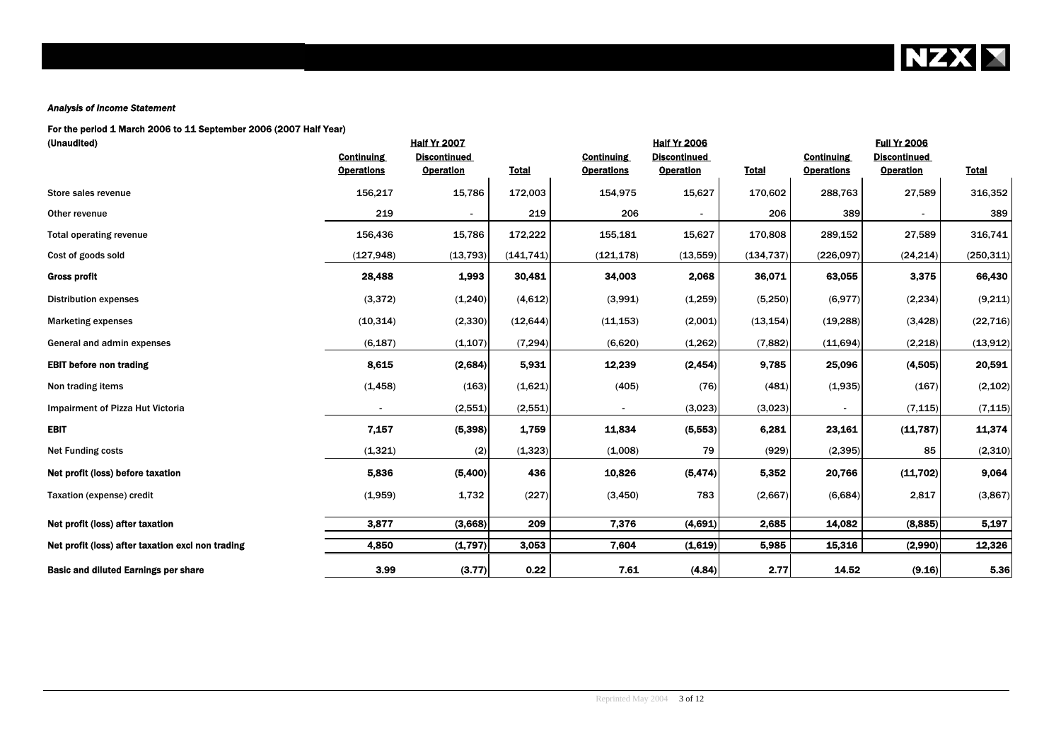**NZX X** 

### *Analysis of Income Statement*

### For the period 1 March 2006 to 11 September 2006 (2007 Half Year)

| (Unaudited)                                       |                   | <b>Half Yr 2007</b> |              |                   | <b>Half Yr 2006</b> |              |                   | <b>Full Yr 2006</b> |              |
|---------------------------------------------------|-------------------|---------------------|--------------|-------------------|---------------------|--------------|-------------------|---------------------|--------------|
|                                                   | <b>Continuing</b> | <b>Discontinued</b> |              | <b>Continuing</b> | <b>Discontinued</b> |              | <b>Continuing</b> | <b>Discontinued</b> |              |
|                                                   | <b>Operations</b> | <b>Operation</b>    | <b>Total</b> | <b>Operations</b> | <b>Operation</b>    | <b>Total</b> | <b>Operations</b> | <b>Operation</b>    | <b>Total</b> |
| Store sales revenue                               | 156,217           | 15,786              | 172,003      | 154,975           | 15,627              | 170,602      | 288,763           | 27,589              | 316,352      |
| Other revenue                                     | 219               |                     | 219          | 206               |                     | 206          | 389               |                     | 389          |
| <b>Total operating revenue</b>                    | 156,436           | 15,786              | 172,222      | 155,181           | 15,627              | 170,808      | 289,152           | 27,589              | 316,741      |
| Cost of goods sold                                | (127, 948)        | (13, 793)           | (141, 741)   | (121, 178)        | (13, 559)           | (134, 737)   | (226,097)         | (24, 214)           | (250, 311)   |
| <b>Gross profit</b>                               | 28,488            | 1,993               | 30,481       | 34,003            | 2,068               | 36,071       | 63,055            | 3,375               | 66,430       |
| <b>Distribution expenses</b>                      | (3, 372)          | (1,240)             | (4,612)      | (3,991)           | (1,259)             | (5,250)      | (6,977)           | (2, 234)            | (9,211)      |
| <b>Marketing expenses</b>                         | (10, 314)         | (2, 330)            | (12, 644)    | (11, 153)         | (2,001)             | (13, 154)    | (19, 288)         | (3, 428)            | (22, 716)    |
| General and admin expenses                        | (6, 187)          | (1, 107)            | (7, 294)     | (6,620)           | (1,262)             | (7, 882)     | (11,694)          | (2,218)             | (13,912)     |
| <b>EBIT before non trading</b>                    | 8,615             | (2,684)             | 5,931        | 12,239            | (2, 454)            | 9,785        | 25,096            | (4,505)             | 20,591       |
| Non trading items                                 | (1, 458)          | (163)               | (1,621)      | (405)             | (76)                | (481)        | (1,935)           | (167)               | (2, 102)     |
| Impairment of Pizza Hut Victoria                  |                   | (2,551)             | (2,551)      |                   | (3,023)             | (3,023)      |                   | (7, 115)            | (7, 115)     |
| <b>EBIT</b>                                       | 7,157             | (5, 398)            | 1,759        | 11,834            | (5, 553)            | 6,281        | 23.161            | (11,787)            | 11,374       |
| <b>Net Funding costs</b>                          | (1, 321)          | (2)                 | (1, 323)     | (1,008)           | 79                  | (929)        | (2, 395)          | 85                  | (2,310)      |
| Net profit (loss) before taxation                 | 5,836             | (5,400)             | 436          | 10,826            | (5, 474)            | 5,352        | 20,766            | (11,702)            | 9,064        |
| Taxation (expense) credit                         | (1,959)           | 1,732               | (227)        | (3, 450)          | 783                 | (2,667)      | (6,684)           | 2,817               | (3,867)      |
| Net profit (loss) after taxation                  | 3,877             | (3,668)             | 209          | 7.376             | (4,691)             | 2,685        | 14,082            | (8,885)             | 5,197        |
|                                                   |                   |                     |              |                   |                     |              |                   |                     |              |
| Net profit (loss) after taxation excl non trading | 4,850             | (1,797)             | 3,053        | 7,604             | (1,619)             | 5,985        | 15,316            | (2,990)             | 12,326       |
| <b>Basic and diluted Earnings per share</b>       | 3.99              | (3.77)              | 0.22         | 7.61              | (4.84)              | 2.77         | 14.52             | (9.16)              | 5.36         |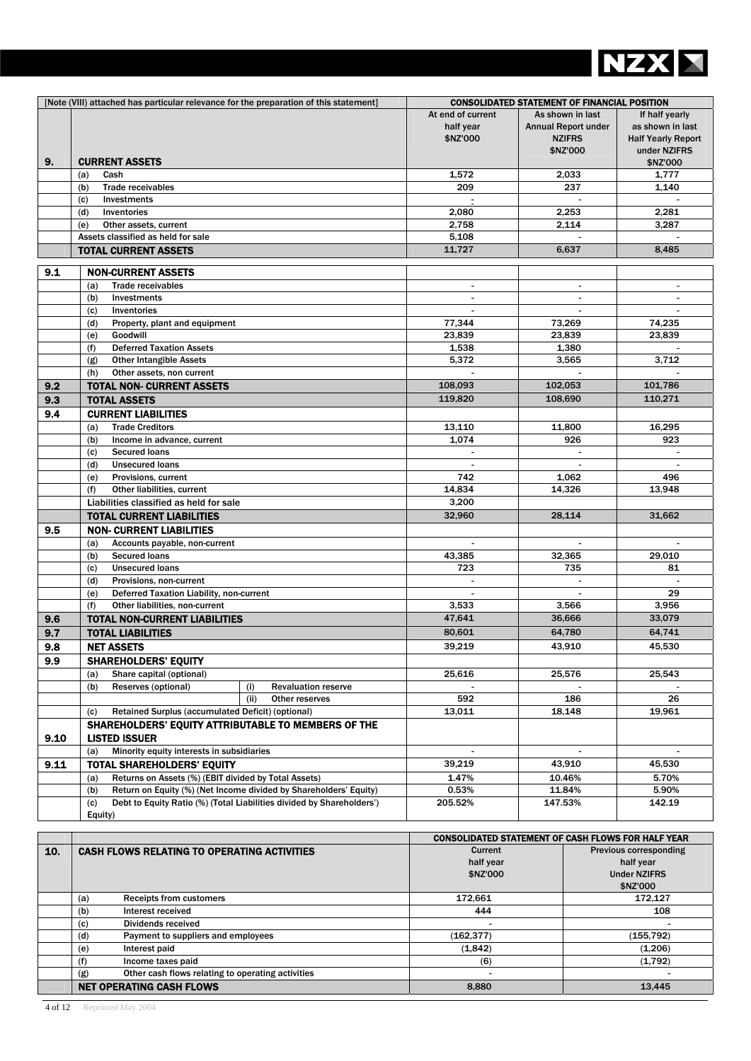

|      | [Note (VIII) attached has particular relevance for the preparation of this statement]   |                                            | <b>CONSOLIDATED STATEMENT OF FINANCIAL POSITION</b>                         |                                                                                 |
|------|-----------------------------------------------------------------------------------------|--------------------------------------------|-----------------------------------------------------------------------------|---------------------------------------------------------------------------------|
|      |                                                                                         | At end of current<br>half year<br>\$NZ'000 | As shown in last<br><b>Annual Report under</b><br><b>NZIFRS</b><br>\$NZ'000 | If half yearly<br>as shown in last<br><b>Half Yearly Report</b><br>under NZIFRS |
| 9.   | <b>CURRENT ASSETS</b>                                                                   |                                            |                                                                             | \$NZ'000                                                                        |
|      | (a)<br>Cash                                                                             | 1,572                                      | 2,033                                                                       | 1,777                                                                           |
|      | (b)<br><b>Trade receivables</b>                                                         | 209                                        | 237                                                                         | 1,140                                                                           |
|      | (c)<br>Investments                                                                      |                                            |                                                                             |                                                                                 |
|      | (d)<br>Inventories                                                                      | 2,080                                      | 2,253                                                                       | 2,281                                                                           |
|      | Other assets, current<br>(e)                                                            | 2,758                                      | 2,114                                                                       | 3,287                                                                           |
|      | Assets classified as held for sale                                                      | 5,108                                      |                                                                             |                                                                                 |
|      | <b>TOTAL CURRENT ASSETS</b>                                                             | 11,727                                     | 6,637                                                                       | 8,485                                                                           |
|      |                                                                                         |                                            |                                                                             |                                                                                 |
| 9.1  | <b>NON-CURRENT ASSETS</b>                                                               |                                            |                                                                             |                                                                                 |
|      | <b>Trade receivables</b><br>(a)                                                         | $\blacksquare$                             | $\blacksquare$                                                              |                                                                                 |
|      | (b)<br>Investments                                                                      |                                            |                                                                             |                                                                                 |
|      | (c)<br>Inventories<br>Property, plant and equipment<br>(d)                              | 77,344                                     | 73,269                                                                      | 74,235                                                                          |
|      | Goodwill<br>(e)                                                                         | 23,839                                     | 23,839                                                                      | 23,839                                                                          |
|      | (f)<br><b>Deferred Taxation Assets</b>                                                  | 1,538                                      | 1,380                                                                       |                                                                                 |
|      | <b>Other Intangible Assets</b><br>(g)                                                   | 5,372                                      | 3,565                                                                       | 3,712                                                                           |
|      | Other assets, non current<br>(h)                                                        | $\mathbf{r}$                               |                                                                             |                                                                                 |
| 9.2  | <b>TOTAL NON- CURRENT ASSETS</b>                                                        | 108,093                                    | 102,053                                                                     | 101,786                                                                         |
| 9.3  | <b>TOTAL ASSETS</b>                                                                     | 119,820                                    | 108,690                                                                     | 110,271                                                                         |
| 9.4  | <b>CURRENT LIABILITIES</b>                                                              |                                            |                                                                             |                                                                                 |
|      | <b>Trade Creditors</b><br>(a)                                                           | 13,110                                     | 11,800                                                                      | 16,295                                                                          |
|      | (b)<br>Income in advance, current                                                       | 1,074                                      | 926                                                                         | 923                                                                             |
|      | <b>Secured loans</b><br>(c)                                                             |                                            |                                                                             |                                                                                 |
|      | <b>Unsecured loans</b><br>(d)                                                           |                                            |                                                                             |                                                                                 |
|      | Provisions, current<br>(e)                                                              | 742                                        | 1,062                                                                       | 496                                                                             |
|      | Other liabilities, current<br>(f)                                                       | 14,834                                     | 14,326                                                                      | 13,948                                                                          |
|      | Liabilities classified as held for sale                                                 | 3,200                                      |                                                                             |                                                                                 |
|      | <b>TOTAL CURRENT LIABILITIES</b>                                                        | 32,960                                     | 28,114                                                                      | 31,662                                                                          |
| 9.5  | <b>NON- CURRENT LIABILITIES</b>                                                         |                                            |                                                                             |                                                                                 |
|      | Accounts payable, non-current<br>(a)                                                    |                                            |                                                                             |                                                                                 |
|      | (b)<br><b>Secured loans</b>                                                             | 43,385                                     | 32,365                                                                      | 29,010                                                                          |
|      | <b>Unsecured loans</b><br>(c)                                                           | 723                                        | 735                                                                         | 81                                                                              |
|      | (d)<br>Provisions, non-current                                                          |                                            |                                                                             |                                                                                 |
|      | Deferred Taxation Liability, non-current<br>(e)                                         |                                            |                                                                             | 29                                                                              |
|      | Other liabilities, non-current<br>(f)                                                   | 3,533                                      | 3,566                                                                       | 3,956                                                                           |
| 9.6  | <b>TOTAL NON-CURRENT LIABILITIES</b>                                                    | 47,641                                     | 36,666                                                                      | 33,079                                                                          |
| 9.7  | <b>TOTAL LIABILITIES</b>                                                                | 80,601                                     | 64,780                                                                      | 64,741                                                                          |
| 9.8  | <b>NET ASSETS</b>                                                                       | 39,219                                     | 43,910                                                                      | 45,530                                                                          |
| 9.9  | <b>SHAREHOLDERS' EQUITY</b>                                                             |                                            |                                                                             |                                                                                 |
|      | Share capital (optional)<br>(a)                                                         | 25,616                                     | 25,576                                                                      | 25,543                                                                          |
|      | Reserves (optional)<br>(b)<br><b>Revaluation reserve</b><br>(i)                         |                                            |                                                                             |                                                                                 |
|      | (ii)<br>Other reserves                                                                  | 592                                        | 186                                                                         | 26                                                                              |
|      | Retained Surplus (accumulated Deficit) (optional)<br>(c)                                | 13,011                                     | 18,148                                                                      | 19,961                                                                          |
|      | SHAREHOLDERS' EQUITY ATTRIBUTABLE TO MEMBERS OF THE                                     |                                            |                                                                             |                                                                                 |
| 9.10 | <b>LISTED ISSUER</b>                                                                    |                                            |                                                                             |                                                                                 |
|      | Minority equity interests in subsidiaries<br>(a)                                        |                                            |                                                                             |                                                                                 |
| 9.11 | <b>TOTAL SHAREHOLDERS' EQUITY</b>                                                       | 39,219                                     | 43,910                                                                      | 45,530                                                                          |
|      | Returns on Assets (%) (EBIT divided by Total Assets)<br>(a)                             | 1.47%                                      | 10.46%                                                                      | 5.70%                                                                           |
|      | Return on Equity (%) (Net Income divided by Shareholders' Equity)<br>(b)                | 0.53%                                      | 11.84%                                                                      | 5.90%                                                                           |
|      | Debt to Equity Ratio (%) (Total Liabilities divided by Shareholders')<br>(c)<br>Equity) | 205.52%                                    | 147.53%                                                                     | 142.19                                                                          |
|      |                                                                                         |                                            |                                                                             |                                                                                 |

|     |                                                          | <b>CONSOLIDATED STATEMENT OF CASH FLOWS FOR HALF YEAR</b> |                               |  |
|-----|----------------------------------------------------------|-----------------------------------------------------------|-------------------------------|--|
| 10. | <b>CASH FLOWS RELATING TO OPERATING ACTIVITIES</b>       | Current                                                   | <b>Previous corresponding</b> |  |
|     |                                                          | half year                                                 | half year                     |  |
|     |                                                          | \$NZ'000                                                  | <b>Under NZIFRS</b>           |  |
|     |                                                          |                                                           | \$NZ'000                      |  |
|     | <b>Receipts from customers</b><br>(a)                    | 172.661                                                   | 172.127                       |  |
|     | (b)<br>Interest received                                 | 444                                                       | 108                           |  |
|     | Dividends received<br>(c)                                |                                                           |                               |  |
|     | (d)<br>Payment to suppliers and employees                | (162, 377)                                                | (155, 792)                    |  |
|     | Interest paid<br>(e)                                     | (1,842)                                                   | (1,206)                       |  |
|     | Income taxes paid<br>(f)                                 | (6)                                                       | (1,792)                       |  |
|     | Other cash flows relating to operating activities<br>(g) |                                                           |                               |  |
|     | <b>NET OPERATING CASH FLOWS</b>                          | 8,880                                                     | 13,445                        |  |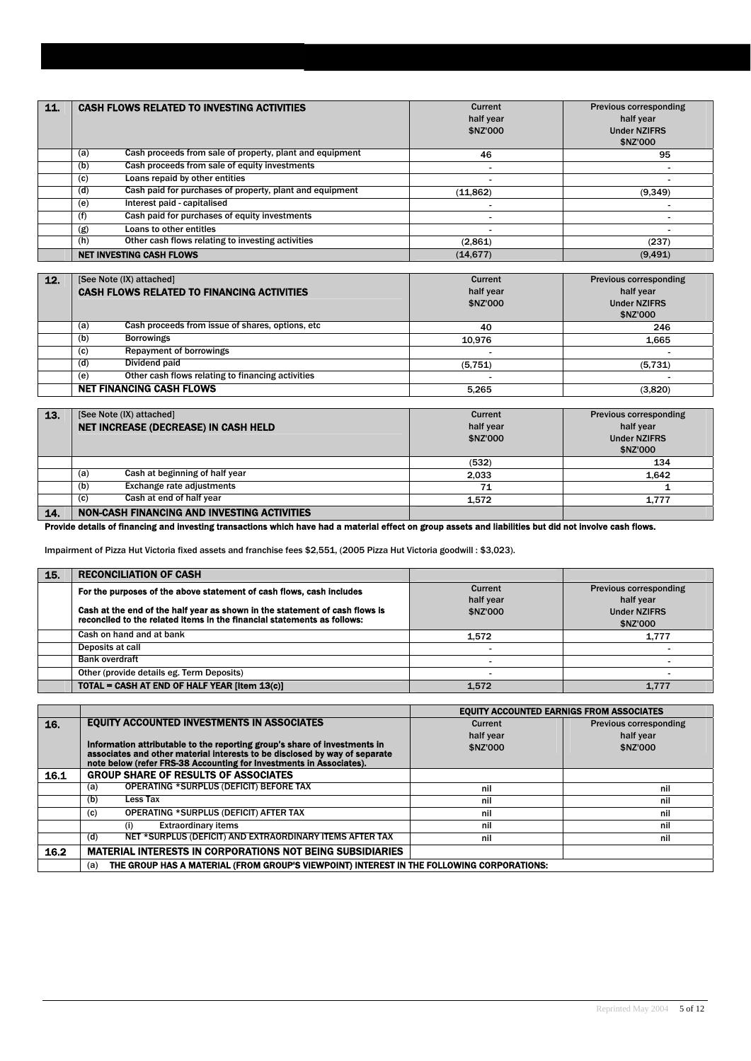| 11. | <b>CASH FLOWS RELATED TO INVESTING ACTIVITIES</b>               | Current<br>half year<br>\$NZ'000 | <b>Previous corresponding</b><br>half year<br><b>Under NZIFRS</b><br>\$NZ'000 |
|-----|-----------------------------------------------------------------|----------------------------------|-------------------------------------------------------------------------------|
|     | Cash proceeds from sale of property, plant and equipment<br>(a) | 46                               | 95                                                                            |
|     | Cash proceeds from sale of equity investments<br>(b)            |                                  |                                                                               |
|     | Loans repaid by other entities<br>(c)                           |                                  |                                                                               |
|     | Cash paid for purchases of property, plant and equipment<br>(d) | (11, 862)                        | (9, 349)                                                                      |
|     | Interest paid - capitalised<br>(e)                              |                                  |                                                                               |
|     | Cash paid for purchases of equity investments<br>(f)            |                                  |                                                                               |
|     | Loans to other entitles<br>(g)                                  |                                  |                                                                               |
|     | Other cash flows relating to investing activities<br>(h)        | (2,861)                          | (237)                                                                         |
|     | <b>NET INVESTING CASH FLOWS</b>                                 | (14.677)                         | (9.491)                                                                       |

| 12. | [See Note (IX) attached]<br><b>CASH FLOWS RELATED TO FINANCING ACTIVITIES</b> | Current<br>half year<br>\$NZ'000 | Previous corresponding<br>half year<br><b>Under NZIFRS</b><br>\$NZ'000 |
|-----|-------------------------------------------------------------------------------|----------------------------------|------------------------------------------------------------------------|
|     | Cash proceeds from issue of shares, options, etc.<br>(a)                      | 40                               | 246                                                                    |
|     | <b>Borrowings</b><br>(b)                                                      | 10.976                           | 1.665                                                                  |
|     | <b>Repayment of borrowings</b><br>(c)                                         |                                  |                                                                        |
|     | Dividend paid<br>(d)                                                          | (5,751)                          | (5,731)                                                                |
|     | Other cash flows relating to financing activities<br>(e)                      |                                  |                                                                        |
|     | <b>NET FINANCING CASH FLOWS</b>                                               | 5.265                            | (3,820)                                                                |

| 13. | [See Note (IX) attached]                    | Current   | <b>Previous corresponding</b> |
|-----|---------------------------------------------|-----------|-------------------------------|
|     | NET INCREASE (DECREASE) IN CASH HELD        | half year | half year                     |
|     |                                             | \$NZ'000  | <b>Under NZIFRS</b>           |
|     |                                             |           | \$NZ'000                      |
|     |                                             | (532)     | 134                           |
|     | Cash at beginning of half year<br>(a)       | 2.033     | 1.642                         |
|     | <b>Exchange rate adjustments</b><br>(b)     | 71        |                               |
|     | Cash at end of half year<br>(c)             | 1.572     | 1.777                         |
| 14. | NON-CASH FINANCING AND INVESTING ACTIVITIES |           |                               |

Provide details of financing and investing transactions which have had a material effect on group assets and liabilities but did not involve cash flows.

Impairment of Pizza Hut Victoria fixed assets and franchise fees \$2,551, (2005 Pizza Hut Victoria goodwill : \$3,023).

| 15. | <b>RECONCILIATION OF CASH</b>                                               |           |                        |
|-----|-----------------------------------------------------------------------------|-----------|------------------------|
|     | For the purposes of the above statement of cash flows, cash includes        | Current   | Previous corresponding |
|     |                                                                             | half year | half year              |
|     | Cash at the end of the half year as shown in the statement of cash flows is | \$NZ'000  | <b>Under NZIFRS</b>    |
|     | reconciled to the related items in the financial statements as follows:     |           | \$NZ'000               |
|     | Cash on hand and at bank                                                    | 1.572     | 1.777                  |
|     | Deposits at call                                                            |           |                        |
|     | <b>Bank overdraft</b>                                                       |           |                        |
|     | Other (provide details eg. Term Deposits)                                   |           |                        |
|     | TOTAL = CASH AT END OF HALF YEAR [Item 13(c)]                               | 1.572     | 1.777                  |

|      |                                                                                                                                                   | <b>EQUITY ACCOUNTED EARNIGS FROM ASSOCIATES</b> |                               |
|------|---------------------------------------------------------------------------------------------------------------------------------------------------|-------------------------------------------------|-------------------------------|
| 16.  | <b>EQUITY ACCOUNTED INVESTMENTS IN ASSOCIATES</b>                                                                                                 | Current                                         | <b>Previous corresponding</b> |
|      |                                                                                                                                                   | half year                                       | half year                     |
|      | Information attributable to the reporting group's share of investments in                                                                         | \$NZ'000                                        | \$NZ'000                      |
|      | associates and other material interests to be disclosed by way of separate<br>note below (refer FRS-38 Accounting for Investments in Associates). |                                                 |                               |
| 16.1 | <b>GROUP SHARE OF RESULTS OF ASSOCIATES</b>                                                                                                       |                                                 |                               |
|      | <b>OPERATING *SURPLUS (DEFICIT) BEFORE TAX</b><br>(a)                                                                                             | nil                                             | nil                           |
|      | Less Tax<br>(b)                                                                                                                                   | nil                                             | nil                           |
|      | OPERATING *SURPLUS (DEFICIT) AFTER TAX<br>(c)                                                                                                     | nil                                             | nil                           |
|      | <b>Extraordinary items</b><br>(i)                                                                                                                 | nil                                             | nil                           |
|      | NET *SURPLUS (DEFICIT) AND EXTRAORDINARY ITEMS AFTER TAX<br>(d)                                                                                   | nil                                             | nil                           |
| 16.2 | <b>MATERIAL INTERESTS IN CORPORATIONS NOT BEING SUBSIDIARIES</b>                                                                                  |                                                 |                               |
|      | THE GROUP HAS A MATERIAL (FROM GROUP'S VIEWPOINT) INTEREST IN THE FOLLOWING CORPORATIONS:<br>(a)                                                  |                                                 |                               |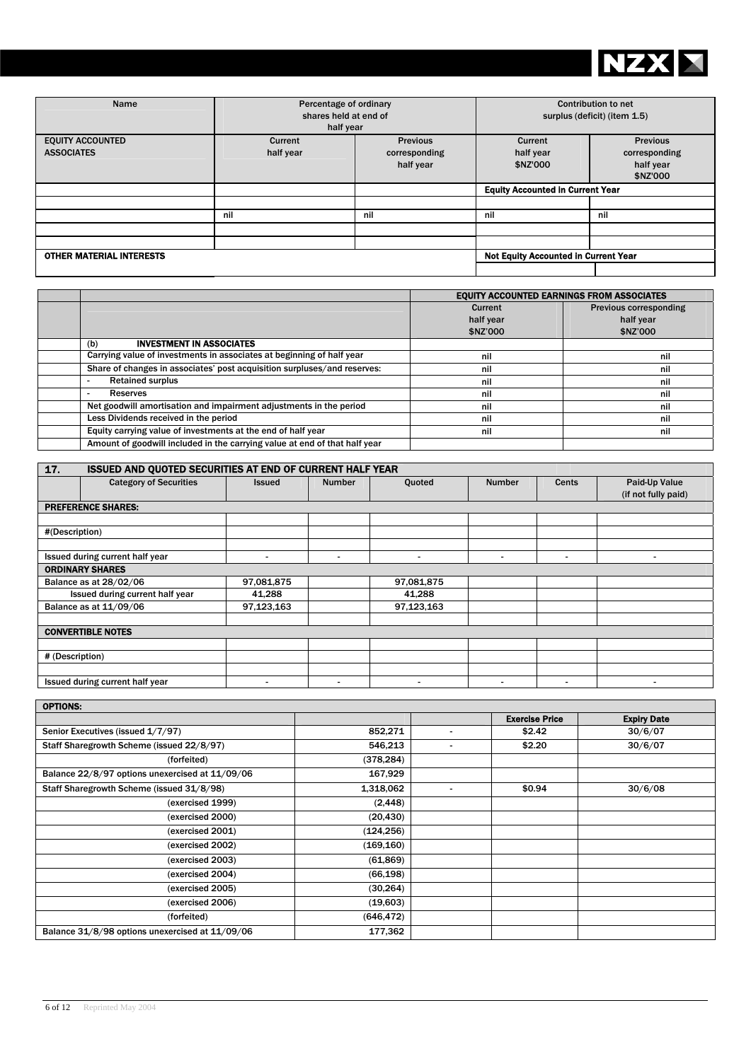

| Name                                         | Percentage of ordinary<br>shares held at end of<br>half year |                                               | <b>Contribution to net</b><br>surplus (deficit) (item 1.5) |                                                           |
|----------------------------------------------|--------------------------------------------------------------|-----------------------------------------------|------------------------------------------------------------|-----------------------------------------------------------|
| <b>EQUITY ACCOUNTED</b><br><b>ASSOCIATES</b> | Current<br>half year                                         | <b>Previous</b><br>corresponding<br>half year | Current<br>half year<br>\$NZ'000                           | <b>Previous</b><br>corresponding<br>half year<br>\$NZ'000 |
|                                              |                                                              |                                               | <b>Equity Accounted in Current Year</b>                    |                                                           |
|                                              |                                                              |                                               |                                                            |                                                           |
|                                              | nil                                                          | nil                                           | nil                                                        | nil                                                       |
|                                              |                                                              |                                               |                                                            |                                                           |
|                                              |                                                              |                                               |                                                            |                                                           |
| <b>OTHER MATERIAL INTERESTS</b>              |                                                              |                                               | <b>Not Equity Accounted in Current Year</b>                |                                                           |
|                                              |                                                              |                                               |                                                            |                                                           |

|                                                                            | <b>EQUITY ACCOUNTED EARNINGS FROM ASSOCIATES</b> |                               |  |
|----------------------------------------------------------------------------|--------------------------------------------------|-------------------------------|--|
|                                                                            | Current                                          | <b>Previous corresponding</b> |  |
|                                                                            | half year                                        | half year                     |  |
|                                                                            | \$NZ'000                                         | \$NZ'000                      |  |
| <b>INVESTMENT IN ASSOCIATES</b><br>(b)                                     |                                                  |                               |  |
| Carrying value of investments in associates at beginning of half year      | nil                                              | nil                           |  |
| Share of changes in associates' post acquisition surpluses/and reserves:   | nil                                              | nil                           |  |
| <b>Retained surplus</b>                                                    | nil                                              | nil                           |  |
| Reserves                                                                   | nil                                              | nil                           |  |
| Net goodwill amortisation and impairment adjustments in the period         | nil                                              | nil                           |  |
| Less Dividends received in the period                                      | nil                                              | nil                           |  |
| Equity carrying value of investments at the end of half year               | nil                                              | nil                           |  |
| Amount of goodwill included in the carrying value at end of that half year |                                                  |                               |  |

| 17.             | <b>ISSUED AND QUOTED SECURITIES AT END OF CURRENT HALF YEAR</b> |               |               |            |               |                          |                     |
|-----------------|-----------------------------------------------------------------|---------------|---------------|------------|---------------|--------------------------|---------------------|
|                 | <b>Category of Securities</b>                                   | <b>Issued</b> | <b>Number</b> | Quoted     | <b>Number</b> | Cents                    | Paid-Up Value       |
|                 |                                                                 |               |               |            |               |                          | (if not fully paid) |
|                 | <b>PREFERENCE SHARES:</b>                                       |               |               |            |               |                          |                     |
|                 |                                                                 |               |               |            |               |                          |                     |
| #(Description)  |                                                                 |               |               |            |               |                          |                     |
|                 |                                                                 |               |               |            |               |                          |                     |
|                 | Issued during current half year                                 |               | ۰             |            | -             | $\overline{\phantom{0}}$ |                     |
|                 | <b>ORDINARY SHARES</b>                                          |               |               |            |               |                          |                     |
|                 | Balance as at 28/02/06                                          | 97,081,875    |               | 97,081,875 |               |                          |                     |
|                 | Issued during current half year                                 | 41,288        |               | 41,288     |               |                          |                     |
|                 | Balance as at 11/09/06                                          | 97,123,163    |               | 97,123,163 |               |                          |                     |
|                 |                                                                 |               |               |            |               |                          |                     |
|                 | <b>CONVERTIBLE NOTES</b>                                        |               |               |            |               |                          |                     |
|                 |                                                                 |               |               |            |               |                          |                     |
| # (Description) |                                                                 |               |               |            |               |                          |                     |
|                 |                                                                 |               |               |            |               |                          |                     |
|                 | Issued during current half year                                 | ۰             | ٠             |            | -             | $\,$                     |                     |

| UPTIUNS:                                        |            |                       |                    |
|-------------------------------------------------|------------|-----------------------|--------------------|
|                                                 |            | <b>Exercise Price</b> | <b>Expiry Date</b> |
| Senior Executives (issued 1/7/97)               | 852,271    | \$2.42                | 30/6/07            |
| Staff Sharegrowth Scheme (issued 22/8/97)       | 546,213    | \$2.20                | 30/6/07            |
| (forfeited)                                     | (378, 284) |                       |                    |
| Balance 22/8/97 options unexercised at 11/09/06 | 167,929    |                       |                    |
| Staff Sharegrowth Scheme (issued 31/8/98)       | 1,318,062  | \$0.94                | 30/6/08            |
| (exercised 1999)                                | (2, 448)   |                       |                    |
| (exercised 2000)                                | (20, 430)  |                       |                    |
| (exercised 2001)                                | (124, 256) |                       |                    |
| (exercised 2002)                                | (169, 160) |                       |                    |
| (exercised 2003)                                | (61, 869)  |                       |                    |
| (exercised 2004)                                | (66, 198)  |                       |                    |
| (exercised 2005)                                | (30, 264)  |                       |                    |
| (exercised 2006)                                | (19,603)   |                       |                    |
| (forfeited)                                     | (646, 472) |                       |                    |
| Balance 31/8/98 options unexercised at 11/09/06 | 177,362    |                       |                    |

 $\overline{\phantom{a}}$ 

 $\blacksquare$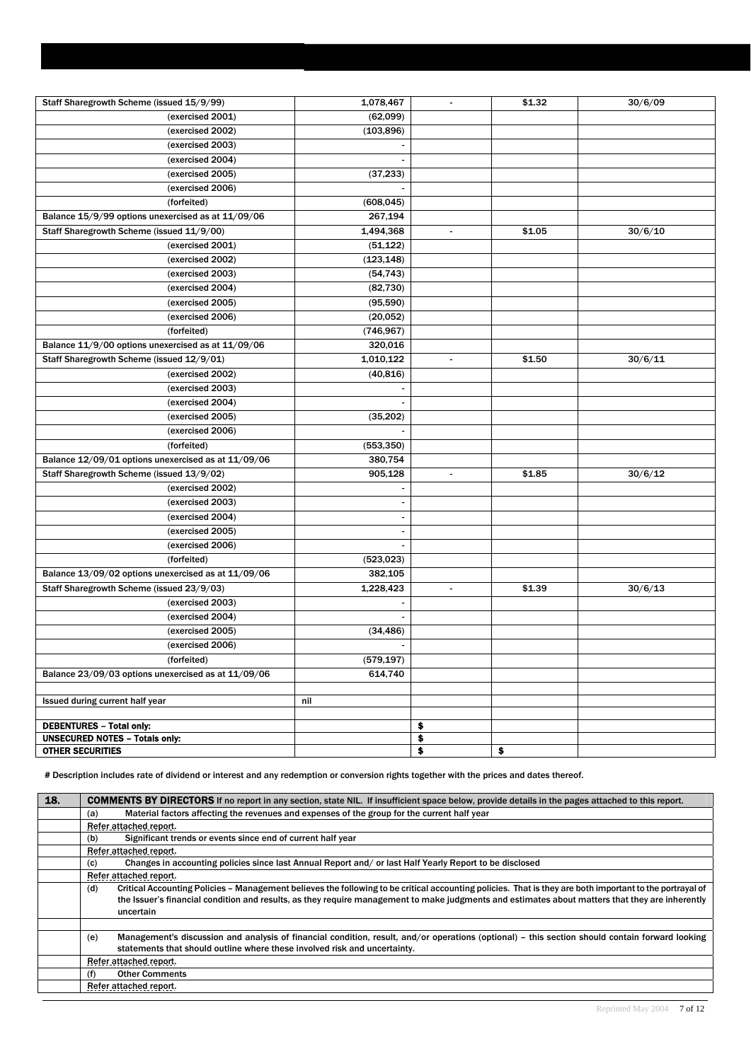| Staff Sharegrowth Scheme (issued 15/9/99)                                | 1,078,467                | $\blacksquare$ | \$1.32 | 30/6/09 |
|--------------------------------------------------------------------------|--------------------------|----------------|--------|---------|
| (exercised 2001)                                                         | (62,099)                 |                |        |         |
| (exercised 2002)                                                         | (103, 896)               |                |        |         |
| (exercised 2003)                                                         |                          |                |        |         |
| (exercised 2004)                                                         |                          |                |        |         |
| (exercised 2005)                                                         | (37, 233)                |                |        |         |
| (exercised 2006)                                                         | $\overline{\phantom{a}}$ |                |        |         |
| (forfeited)                                                              | (608, 045)               |                |        |         |
| Balance 15/9/99 options unexercised as at 11/09/06                       | 267,194                  |                |        |         |
| Staff Sharegrowth Scheme (issued 11/9/00)                                | 1,494,368                | $\blacksquare$ | \$1.05 | 30/6/10 |
| (exercised 2001)                                                         | (51, 122)                |                |        |         |
| (exercised 2002)                                                         | (123, 148)               |                |        |         |
| (exercised 2003)                                                         | (54, 743)                |                |        |         |
| (exercised 2004)                                                         | (82, 730)                |                |        |         |
| (exercised 2005)                                                         | (95, 590)                |                |        |         |
| (exercised 2006)                                                         | (20, 052)                |                |        |         |
| (forfeited)                                                              | (746, 967)               |                |        |         |
| Balance 11/9/00 options unexercised as at 11/09/06                       | 320,016                  |                |        |         |
| Staff Sharegrowth Scheme (issued 12/9/01)                                | 1,010,122                | $\blacksquare$ | \$1.50 | 30/6/11 |
| (exercised 2002)                                                         | (40, 816)                |                |        |         |
| (exercised 2003)                                                         |                          |                |        |         |
| (exercised 2004)                                                         |                          |                |        |         |
| (exercised 2005)                                                         | (35, 202)                |                |        |         |
| (exercised 2006)                                                         |                          |                |        |         |
| (forfeited)                                                              | (553, 350)               |                |        |         |
| Balance 12/09/01 options unexercised as at 11/09/06                      | 380,754                  |                |        |         |
| Staff Sharegrowth Scheme (issued 13/9/02)                                | 905,128                  | $\blacksquare$ | \$1.85 | 30/6/12 |
| (exercised 2002)                                                         | $\blacksquare$           |                |        |         |
| (exercised 2003)                                                         | $\overline{\phantom{a}}$ |                |        |         |
| (exercised 2004)                                                         | $\blacksquare$           |                |        |         |
| (exercised 2005)                                                         |                          |                |        |         |
| (exercised 2006)                                                         |                          |                |        |         |
| (forfeited)                                                              | (523, 023)               |                |        |         |
| Balance 13/09/02 options unexercised as at 11/09/06                      | 382,105                  |                |        |         |
| Staff Sharegrowth Scheme (issued 23/9/03)                                | 1,228,423                | $\blacksquare$ | \$1.39 | 30/6/13 |
| (exercised 2003)                                                         | -                        |                |        |         |
| (exercised 2004)                                                         |                          |                |        |         |
| (exercised 2005)                                                         | (34, 486)                |                |        |         |
| (exercised 2006)                                                         |                          |                |        |         |
| (forfeited)                                                              | (579, 197)               |                |        |         |
| Balance 23/09/03 options unexercised as at 11/09/06                      | 614,740                  |                |        |         |
|                                                                          |                          |                |        |         |
| Issued during current half year                                          | nil                      |                |        |         |
|                                                                          |                          |                |        |         |
| <b>DEBENTURES - Total only:</b><br><b>UNSECURED NOTES - Totals only:</b> |                          | \$             |        |         |
| <b>OTHER SECURITIES</b>                                                  |                          | \$<br>\$       | \$     |         |

# Description includes rate of dividend or interest and any redemption or conversion rights together with the prices and dates thereof.

| 18. | <b>COMMENTS BY DIRECTORS</b> If no report in any section, state NIL. If insufficient space below, provide details in the pages attached to this report.         |
|-----|-----------------------------------------------------------------------------------------------------------------------------------------------------------------|
|     | Material factors affecting the revenues and expenses of the group for the current half year<br>(a)                                                              |
|     | Refer attached report.                                                                                                                                          |
|     | Significant trends or events since end of current half year<br>(b)                                                                                              |
|     | Refer attached report.                                                                                                                                          |
|     | Changes in accounting policies since last Annual Report and/or last Half Yearly Report to be disclosed<br>(c)                                                   |
|     | Refer attached report.                                                                                                                                          |
|     | Critical Accounting Policies – Management believes the following to be critical accounting policies. That is they are both important to the portrayal of<br>(d) |
|     | the Issuer's financial condition and results, as they require management to make judgments and estimates about matters that they are inherently                 |
|     | uncertain                                                                                                                                                       |
|     |                                                                                                                                                                 |
|     | Management's discussion and analysis of financial condition, result, and/or operations (optional) – this section should contain forward looking<br>(e)          |
|     | statements that should outline where these involved risk and uncertainty.                                                                                       |
|     | Refer attached report.                                                                                                                                          |
|     | <b>Other Comments</b><br>(f)                                                                                                                                    |
|     | Refer attached report.                                                                                                                                          |